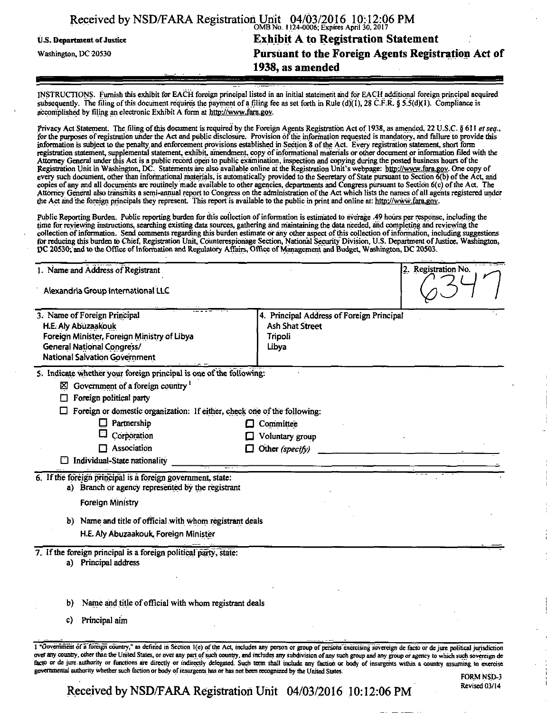|                            | Received by NSD/FARA Registration Unit 04/03/2016 10:12:06 PM |
|----------------------------|---------------------------------------------------------------|
| U.S. Department of Justice | <b>Exhibit A to Registration Statement</b>                    |
| Washington, DC 20530       | Pursuant to the Foreign Agents Registration Act of            |
|                            | 1938, as amended                                              |

INSTRUCTIONS. Furnish this exhibit for EACH foreign principal listed in an initial statement and for EACH additional foreign principal acquired subsequently. The filing of this document requires the payment of a filing fee as set forth in Rule (d)(1), 28 C.F.R. § 5.5(d)(1). Compliance is accomplished by filing an electronic Exhibit A form at http://www.fara.gov.

Privacy Act Statement. The filing of this document is required by the Foreign Agents Registration Act of 1938, as amended, 22 U.S.C. § 611 et seq., for the purposes of registration under the Act and public disclosure. Provision of the mformation requested is mandatory, and failure to provide this information is subject to the penalty, and enforcement provisions established in Section 8 ofthe Act. Every registration statement, short form registration statement, supplemental statement, exhibit, amendment, copy of informational materials or other document or mformation filed with the Attorney General under this Act is a public record open to public examination, inspection and copying during the posted business hours of the Registration Unit in Washington, DC. Statements are also available online at the Registration Unit's webpage: http://www.fara.gov. One copy of every such document, other than informational materials, is automatically provided to the Secretary of.State pursuant to Section 6(b) of the Act, arid copies of any and all documents are routinely made available to other agencies, departments and Congress pursuant to Section 6(c) of the Act. The Attorney General also transmits a semi-annual report to Congress on the administration ofthe Act which lists the names of all agents registered under the Act and the foreign principals they represent. This report is available to the public in print and online at: http://www.fara.gov.

Public Reporting Burden. Public reporting burden for this collection of information is estimated to average .49 hours per response, including the time for reviewing instructions, searching existing data sources, gathering and mamtainirig the data needed, and completing and reviewing the collection of information. Send comments regarding this burden estimate or any other aspect of this collection of information, including suggestions for reducing this burden to Chief, Registration Unit, Counterespionage Section, National Security Division, U.S. Department of Justice, Washington, DC 20530; and to the Office of Information and Regulatory Affairs, Office of Management and Budget, Washington, DC 20503.

| 1. Name and Address of Registrant<br>Alexandria Group International LLC                                          |                                           | 2. Registration No. |
|------------------------------------------------------------------------------------------------------------------|-------------------------------------------|---------------------|
|                                                                                                                  |                                           |                     |
| 3. Name of Foreign Principal                                                                                     | 4. Principal Address of Foreign Principal |                     |
| H.E. Aly Abuzaakouk                                                                                              | <b>Ash Shat Street</b>                    |                     |
| Foreign Minister, Foreign Ministry of Libya<br><b>General National Congress/</b>                                 | Tripoli<br>Libya                          |                     |
| National Salvation Government                                                                                    |                                           |                     |
| 5. Indicate whether your foreign principal is one of the following:                                              |                                           |                     |
| $\boxtimes$ Government of a foreign country $^1$                                                                 |                                           |                     |
| Foreign political party                                                                                          |                                           |                     |
| Foreign or domestic organization: If either, check one of the following:                                         |                                           |                     |
| Partnership<br>ப                                                                                                 | Committee                                 |                     |
| Corporation                                                                                                      | Voluntary group                           |                     |
| Association                                                                                                      | Other (specify)                           |                     |
| Individual-State nationality                                                                                     |                                           |                     |
| 6. If the foreign principal is a foreign government, state:<br>a) Branch or agency represented by the registrant |                                           |                     |
|                                                                                                                  |                                           |                     |
| <b>Foreign Ministry</b>                                                                                          |                                           |                     |
| b) Name and title of official with whom registrant deals                                                         |                                           |                     |
| H.E. Aly Abuzaakouk, Foreign Minister                                                                            |                                           |                     |
| 7. If the foreign principal is a foreign political party, state:<br>a) Principal address                         |                                           |                     |
| Name and title of official with whom registrant deals<br>b)                                                      |                                           |                     |
| Principal aim<br>c)                                                                                              |                                           |                     |
|                                                                                                                  |                                           |                     |

1 "Government of a foreign country," as defined in Section 1(e) of the Act, includes any person or group of persons exercising sovereign de facto or de jure political jurisdiction over any country, other than the United States, or over any part of such country, and includes any subdivision of any such group and any group or agency to which such sovereign de facto or de jure authority or functions are directly or indirectly delegated. Such term shall include any faction or body of insurgents within a country assuming to exercise governmental authority whether such faction or body of insurgents has or has not been recognized bv the United States.

# *Received by NSD/FARA Registration Unit 04/03/2016 10:12:06 PM*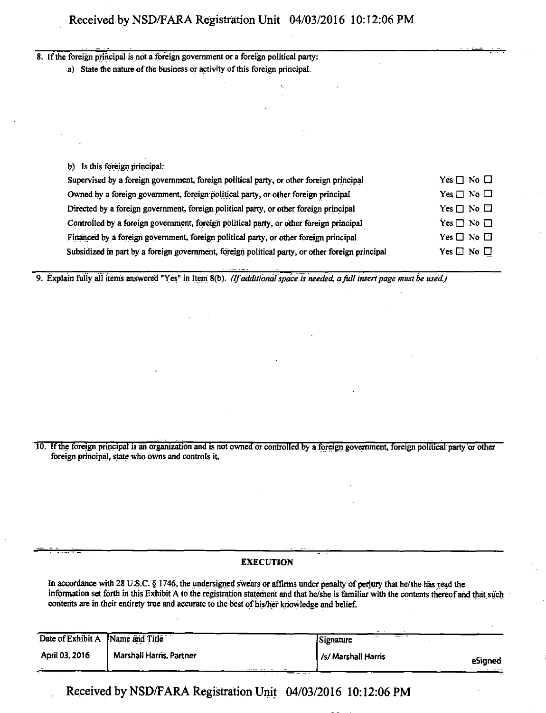### 8. If the foreign principal is not a foreign government or a foreign political party:

a) State the nature of the business or activity of this foreign principal.

| b) Is this foreign principal:                                                                   |                      |
|-------------------------------------------------------------------------------------------------|----------------------|
| Supervised by a foreign government, foreign political party, or other foreign principal         | Yes $\Box$ No $\Box$ |
| Owned by a foreign government, foreign political party, or other foreign principal              | Yes $\Box$ No $\Box$ |
| Directed by a foreign government, foreign political party, or other foreign principal           | Yes $\Box$ No $\Box$ |
| Controlled by a foreign government, foreign political party, or other foreign principal         | Yes $\Box$ No $\Box$ |
| Financed by a foreign government, foreign political party, or other foreign principal           | Yes $\Box$ No $\Box$ |
| Subsidized in part by a foreign government, foreign political party, or other foreign principal | Yes $\Box$ No $\Box$ |

*9. Explain fully all items answered "Yes" in Item' 8(b). (If additional space is needed, a full insert page must be used.)* 

10. If the foreign principal is an organization and is not owned or controlled by a foreign government, foreign political party or other foreign principal, state who owns and controls it.

#### **EXECUTION**

In accordance with 28 U.S.C. § 1746, the undersigned swears or affirms under penalty of perjury that he/she has read the information set forth in this Exhibit A to the registration statement and that he/she is familiar with the contents thereof and that such contents are in their entirety true and accurate to the best of his/her knowledge and belief.

| Date of Exhibit A | ----<br>Name and Title   | $  -$<br>-----<br><b>STATE</b><br>Signature |         |
|-------------------|--------------------------|---------------------------------------------|---------|
| April 03, 2016    | Marshall Harris, Partner | /s/ Marshall Harris                         | eSianed |
| $\sim$            |                          |                                             | ---     |

**Received by NSD/FARA Registration Unit 04/03/2016 10:12:06 PM**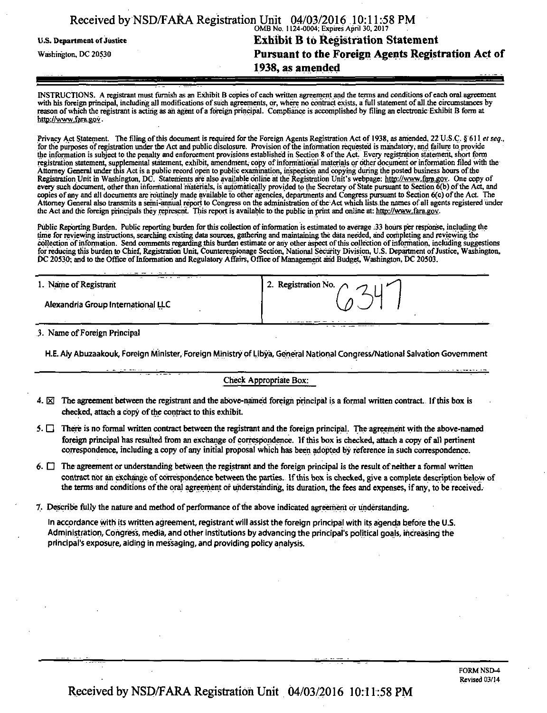|                                   | 1938, as amended                                                                                           |  |
|-----------------------------------|------------------------------------------------------------------------------------------------------------|--|
| Washington, DC 20530              | Pursuant to the Foreign Agents Registration Act of                                                         |  |
| <b>U.S. Department of Justice</b> | <b>Exhibit B to Registration Statement</b>                                                                 |  |
|                                   | Received by NSD/FARA Registration Unit 04/03/2016 10:11:58 PM<br>OMB No. 1124-0004; Expires April 30, 2017 |  |

INSTRUCTIONS. A registrant must furnish as an Exhibit B copies of each written agreement and the terms and conditions of each oral agreement with his foreign principal, including all modifications of such agreements, or, where no contract exists, a full statement of all the circumstances by reason of which the registrant is acting as ah agent ofa foreign principal. Compliance is accomplished by tiling an electronic Exhibit B form at http://www.fara.gov.

Privacy Act Statement. The filing of this document is required for the Foreign Agents Registration Act of 1938, as amended, 22 U.S.C. § 611 et seq., for the purposes of registration under the Act and public disclosure. Provision ofthe information requested is mandatory; and failure to provide the information is subject to the penalty and enforcement provisions established in Section 8 of the Act. Every registration statement, short form registration statement, supplemental statement, exhibit, amendment, copy of informational materials or other document or information filed with the Attorney General under this Act is a public record open to public examination, inspection and copying during the posted business hours ofthe Registration Unit in Washington, DC. Statements are also available online at the Registration Unit's webpage: http://www.fara.gov. One copy of every such document, other than informational materials, is automatically provided to the Secretary of State pursuant to Section 6(b) of the Act, and copies of any and all documents are routinely made available to other agencies, departments and Congress pursuant to Section 6(c) ofthe Act. The Attorney General also transmits a semi-annual report to Congress on the administration of the Act which lists the names of all agents registered under the Act and the foreign principals they represent. This report is available to the public in print and online at: http://www. fara.gov.

Public Reporting Burden. Public reporting burden for this collection of information is estimated to average .33 hours per response, mcluding the time for reviewing instructions, searching existing data sources, gathering and maintaining the data needed, and completing and reviewing the collection of information. Send comments regarding this burden estimate or any other aspect of this collection of mformatiori, including suggestions for reducing this burden to Chief, Registration Unit, Counterespionage Section, National Security Division, U.S. Department of justice, Washington, DC 20530; and to the Office of Information and Regulatory Affairs, Office of Management and Budget, Washington, DC 20503.

| -<br>1. Name of Registrant         | 2. Registration No. $\bigcap_{n=1}^{\infty}$ |
|------------------------------------|----------------------------------------------|
| Alexandria Group International LLC |                                              |
|                                    |                                              |

3. Name of Foreign Principal

H.E. Aly Abuzaakouk, Foreign Minister, Foreign Ministry of Libya, General National Congress/National Salvation Government

#### Check Appropriate Box:

- 4.  $\boxtimes$  The agreement between the registrant and the above-named foreign principal is a formal written contract. If this box is checked, attach a copy of the contract to this exhibit.
- 5.  $\Box$  There is no formal written contract between the registrant and the foreign principal. The agreement with the above-named foreign principal has resulted from an exchange of correspondence. If this box is checked, attach a copy of all pertinent correspondence, including a copy of any initial proposal which has been adopted by reference in such correspondence.
- 6.  $\Box$  The agreement or understanding between the registrant and the foreign principal is the result of neither a formal written contract nor an exchange of correspondence between the parties. If this box is checked, give a complete description below of the terms and conditions of the oral agreement of understanding, its duration, the fees and expenses, if any, to be received.
- 7,. Describe fully the nature and method of performance of the above indicated agreement or understanding.

In accordance with its written agreement, registrant will assist the foreign principal with its agenda before the U.S. Administration, Congress, media, and other institutions by advancing the principal's political goals, increasing the principal's exposure, aiding in messaging, and providing policy analysis.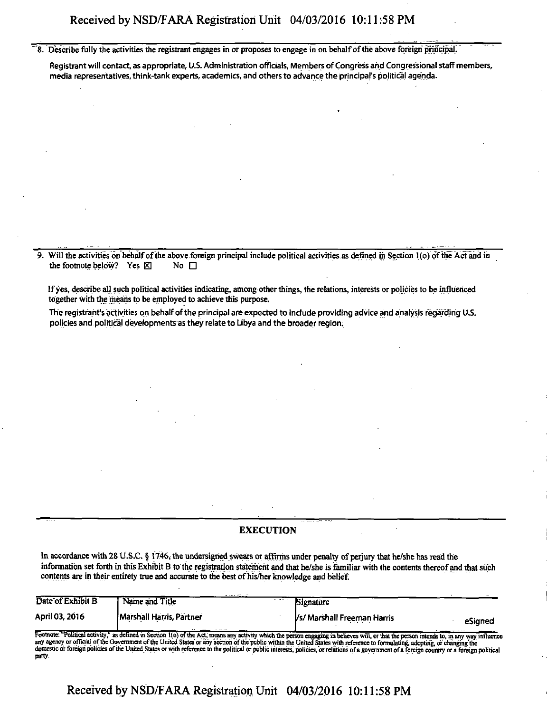8. Describe fully the activities the registrant engages in or proposes to engage in on behalf of the above foreign principal.

Registrant will contact, as appropriate, U.S. Administration officials, Members of Congress and Congressional staff members, media representatives, think-tank experts, academics, and others to advance the principal's political agenda.

Will the activities on behalf of the above foreign principal include political activities as defined in Section 1(o) of the Act and in the footnote below? Yes  $\boxtimes$  No  $\Box$ 

If yes, describe all such political activities indicating, among other things, the relations, interests or policies to be influenced together with the means to be employed to achieve this purpose.

The registrant's activities on behalf ofthe principal are expected to include providing advice and analysis regarding U.S. policies and political developments as they relate to Libya and the broader region.

#### **EXECUTION**

In accordance with 28 U.S.C. § 1746, the undersigned swears or affirms under penalty of perjury that he/she has read the information set forth in this Exhibit B to the registration statement and that he/she is familiar with the contents thereof and that such contents are in their entirety true and accurate to the best of his/her knowledge and belief.

| Date of Exhibit B | Name and Title           | Signature<br>$\cdots$                                       |         |
|-------------------|--------------------------|-------------------------------------------------------------|---------|
| April 03, 2016    | Marshall Harris, Partner | Vs/ Marshall Freeman Harris<br><b><i><u>BAR 200</u></i></b> | eSianed |

Footnote: "Political activity," as defined in Section 1(o) of the Act, means any activity which the person engaging in believes will, or that the person intends to, in any way influence<br>any agency or official of the Govern domestic or foreign policies of the United States or with reference to the political or public interests, policies, or relations of a government of a foreign country or a foreign political party.

Received by NSD/FARA Registration Unit 04/03/2016 10:11:58 PM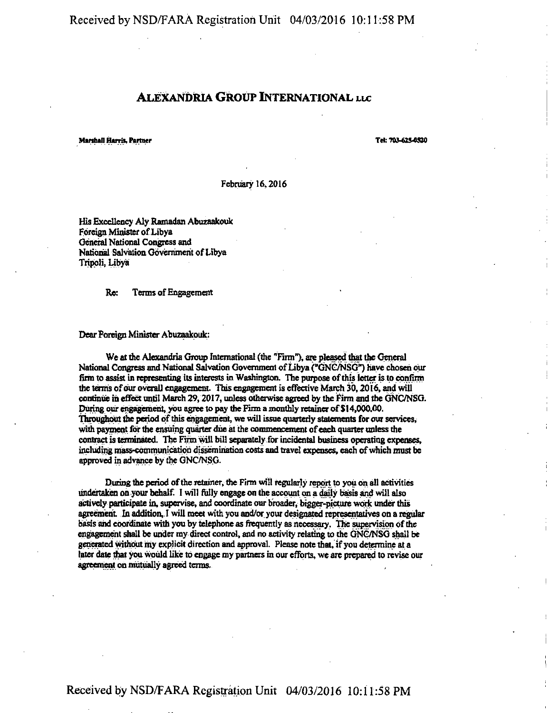**Received by NSD/FARA Registration Unit 04/03/2016 10:11:58 PM** 

## **ALEXANDRIA GROUP INTERNATIONAL LLC**

**Marthaf! Harrl\*, Partner Tek 703-6254520** 

**February 16,2016** 

**His Excellency Aly Ramadan Abuzaakouk Foreign Minister of Libya General National Congress and National Salvation Gdvcrrimerit of Libya Tripoli, Libya** 

**Re: Terms of Engagement** 

**Dear Foreign Minister Abuzaakouk;** 

**We at the Alexandria Group International (the "Firm"), are pleased that the General**  National Congress and National Salvation Government of Libya ("GNC/NSG<sup>*r*</sup>) have chosen our **firm to assist in representing its interests in Washington. The purpose of this fetter is to confirm the terms of our overall engagement. This engagement is effective March 30,20 [ 6, and will continue in effect until March 29,2017, unless otherwise agreed by the Firm and the GNC/NSG. During our engagement, you agree to pay the Finn a monthly retainer of S14,000.00.**  Throughout the period of this engagement, we will issue quarterly statements for our services, **with payment for the ensuing quarter due at the conimencement of each quarter unless the contract is tennfaated. The Finn will bill separately for incidental business operating expenses, including mass-communication dissemination costs and travel expenses, each of which must be approved in advance by the GNC/NSG.** 

**During the period of the retainer, the Firm will regularly report to you on all activities**  undertaken on your behalf. I will fully engage on the account on a daily basis and will also **actively participate in, supervise, and coordinate our broader, bigger-picture work under this agreement In addition, I will meet with you and/or your designated representatives on a regular basis and coordinate with you by telephone as frequently as necessary . The supervision of the engagement shall be under my direct control, and no activity relating to the GNG/NSG shall be generated without my explicit direction and approval. Please note that, if you determine at a later date that you would like to engage my partners in our efforts, we are prepared to revise our agreement on mutually agreed terms-**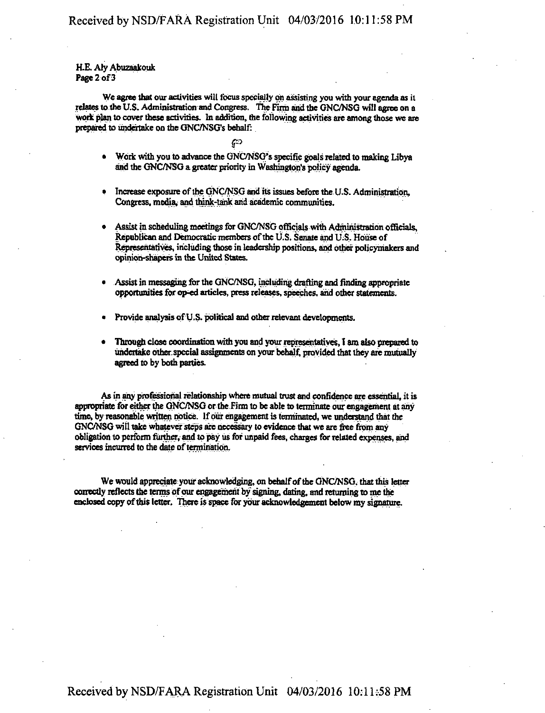#### **RE. Aly Abuzaakouk Page 2 of 3**

We agree that our activities will focus specially on assisting you with your agenda as it **relates to the US. Administration and Congress, the Firm and the GNC/NSG will agree on a work plan to cover these activities. In addition, the following activities are among those we are prepared to undertake on the GNC/NSG's behalf:** 

## **<P**

- **Work with you to advance the GNC/NSG's specific goals related to making Libya and the GNC/NSG a greater priority in Washington's policy agenda.**
- **Increase exposure of the GNC/NSG and its issues before the U.S. Administration, Congress, media, and think-tank and academic communities.**
- **Assist in scheduling meetings for GNC/NSG officials with Administration officials, Republican and Democratic members of the U.S. Senate and U.S. House of Representatives, including those in leadership positions, and other policymakers and opinion-shapers in the United States.**
- **Assist in messaging for the GNC/NSG, including drafting and finding appropriate opportunities for op-ed articles, press releases, speeches, and other statements.**
- **Provide analysis of U.S. political and other relevant developments.**
- **Through close coonunation with you and your representatives, I am also prepared to undertake other, special assignments on your behalf, provided that they are mutually agreed to by both parties.**

**As in any professional relationship where mutual trust and confidence are essential, it is appropriate for either the GNC/NSG or the Firm to be able to terminate our engagement at any**  time, by reasonable written notice. If our engagement is terminated, we understand that the **GNC/NSG will take whatever steps are necessary to evidence that we are free fiom any obligation to perform further, and to pay its for unpaid fees, charges for related expenses, and services mcurred to the date of termmarion.** 

We would appreciate your acknowledging, on behalf of the GNC/NSG, that this letter **correctly reflects the terms of our engagement by signing, dating, and returning to me the enclosed copy of this letter. There is space for your acknowledgement below my signature.**